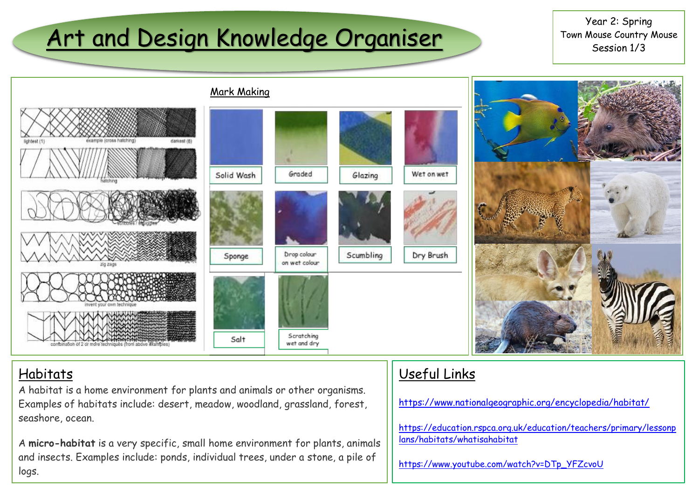# Art and Design Knowledge Organiser

Year 2: Spring Town Mouse Country Mouse Session 1/3



### **Habitats**

A habitat is a home environment for plants and animals or other organisms. Examples of habitats include: desert, meadow, woodland, grassland, forest, seashore, ocean.

A **micro-habitat** is a very specific, small home environment for plants, animals and insects. Examples include: ponds, individual trees, under a stone, a pile of logs.

### Useful Links

<https://www.nationalgeographic.org/encyclopedia/habitat/>

[https://education.rspca.org.uk/education/teachers/primary/lessonp](https://education.rspca.org.uk/education/teachers/primary/lessonplans/habitats/whatisahabitat) [lans/habitats/whatisahabitat](https://education.rspca.org.uk/education/teachers/primary/lessonplans/habitats/whatisahabitat)

[https://www.youtube.com/watch?v=DTp\\_YFZcvoU](https://www.youtube.com/watch?v=DTp_YFZcvoU)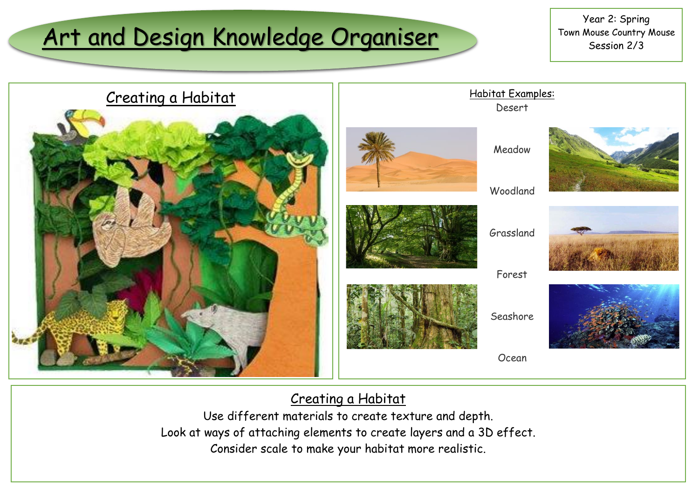# Art and Design Knowledge Organiser

Year 2: Spring Town Mouse Country Mouse Session 2/3









Forest

Habitat Examples: Desert

Seashore

Ocean



### Creating a Habitat

Use different materials to create texture and depth. Look at ways of attaching elements to create layers and a 3D effect. Consider scale to make your habitat more realistic.